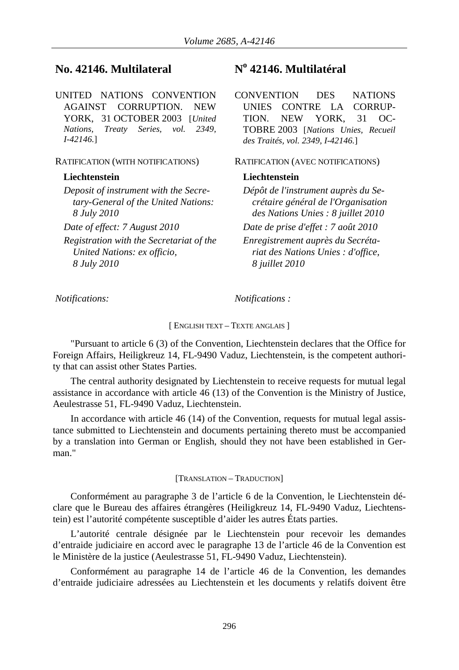# **No. 42146. Multilateral No 42146. Multilatéral**

UNITED NATIONS CONVENTION AGAINST CORRUPTION. NEW YORK, 31 OCTOBER 2003 [*United Nations, Treaty Series, vol. 2349, I-42146.*]

*Deposit of instrument with the Secretary-General of the United Nations: 8 July 2010*

*Registration with the Secretariat of the United Nations: ex officio, 8 July 2010*

CONVENTION DES NATIONS UNIES CONTRE LA CORRUP-TION. NEW YORK, 31 OC-TOBRE 2003 [*Nations Unies, Recueil des Traités, vol. 2349, I-42146.*]

RATIFICATION (WITH NOTIFICATIONS) RATIFICATION (AVEC NOTIFICATIONS)

## **Liechtenstein Liechtenstein**

*Dépôt de l'instrument auprès du Secrétaire général de l'Organisation des Nations Unies : 8 juillet 2010 Date of effect: 7 August 2010 Date de prise d'effet : 7 août 2010 Enregistrement auprès du Secréta-*

*riat des Nations Unies : d'office, 8 juillet 2010*

*Notifications: Notifications :* 

### [ ENGLISH TEXT – TEXTE ANGLAIS ]

"Pursuant to article 6 (3) of the Convention, Liechtenstein declares that the Office for Foreign Affairs, Heiligkreuz 14, FL-9490 Vaduz, Liechtenstein, is the competent authority that can assist other States Parties.

The central authority designated by Liechtenstein to receive requests for mutual legal assistance in accordance with article 46 (13) of the Convention is the Ministry of Justice, Aeulestrasse 51, FL-9490 Vaduz, Liechtenstein.

In accordance with article 46 (14) of the Convention, requests for mutual legal assistance submitted to Liechtenstein and documents pertaining thereto must be accompanied by a translation into German or English, should they not have been established in German."

### [TRANSLATION – TRADUCTION]

Conformément au paragraphe 3 de l'article 6 de la Convention, le Liechtenstein déclare que le Bureau des affaires étrangères (Heiligkreuz 14, FL-9490 Vaduz, Liechtenstein) est l'autorité compétente susceptible d'aider les autres États parties.

L'autorité centrale désignée par le Liechtenstein pour recevoir les demandes d'entraide judiciaire en accord avec le paragraphe 13 de l'article 46 de la Convention est le Ministère de la justice (Aeulestrasse 51, FL-9490 Vaduz, Liechtenstein).

Conformément au paragraphe 14 de l'article 46 de la Convention, les demandes d'entraide judiciaire adressées au Liechtenstein et les documents y relatifs doivent être